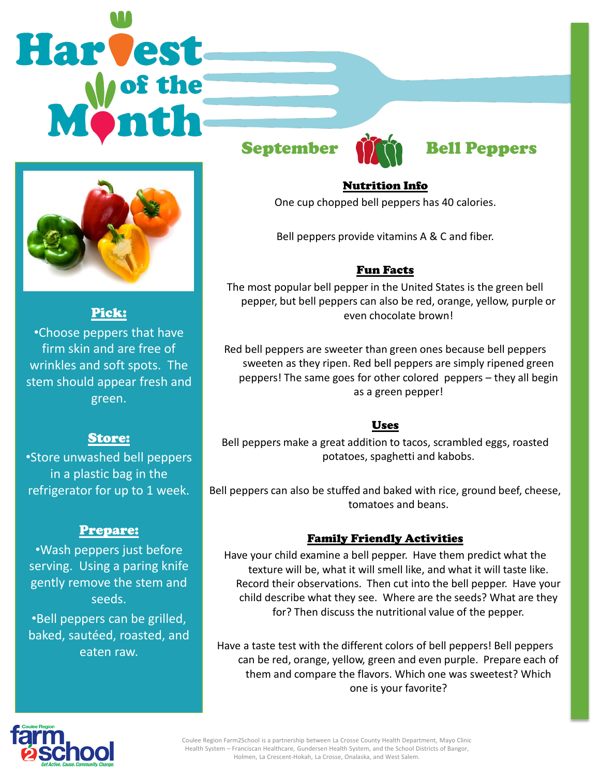# Harvest



Pick:

•Choose peppers that have firm skin and are free of wrinkles and soft spots. The stem should appear fresh and green.

### Store:

•Store unwashed bell peppers in a plastic bag in the refrigerator for up to 1 week.

## Prepare:

•Wash peppers just before serving. Using a paring knife gently remove the stem and seeds.

•Bell peppers can be grilled, baked, sautéed, roasted, and eaten raw.



# September **Man** Bell Peppers

### Nutrition Info

One cup chopped bell peppers has 40 calories.

Bell peppers provide vitamins A & C and fiber.

### Fun Facts

The most popular bell pepper in the United States is the green bell pepper, but bell peppers can also be red, orange, yellow, purple or even chocolate brown!

Red bell peppers are sweeter than green ones because bell peppers sweeten as they ripen. Red bell peppers are simply ripened green peppers! The same goes for other colored peppers – they all begin as a green pepper!

### Uses

Bell peppers make a great addition to tacos, scrambled eggs, roasted potatoes, spaghetti and kabobs.

Bell peppers can also be stuffed and baked with rice, ground beef, cheese, tomatoes and beans.

### Family Friendly Activities

Have your child examine a bell pepper. Have them predict what the texture will be, what it will smell like, and what it will taste like. Record their observations. Then cut into the bell pepper. Have your child describe what they see. Where are the seeds? What are they for? Then discuss the nutritional value of the pepper.

Have a taste test with the different colors of bell peppers! Bell peppers can be red, orange, yellow, green and even purple. Prepare each of them and compare the flavors. Which one was sweetest? Which one is your favorite?



Coulee Region Farm2School is a partnership between La Crosse County Health Department, Mayo Clinic Health System – Franciscan Healthcare, Gundersen Health System, and the School Districts of Bangor, Holmen, La Crescent-Hokah, La Crosse, Onalaska, and West Salem.